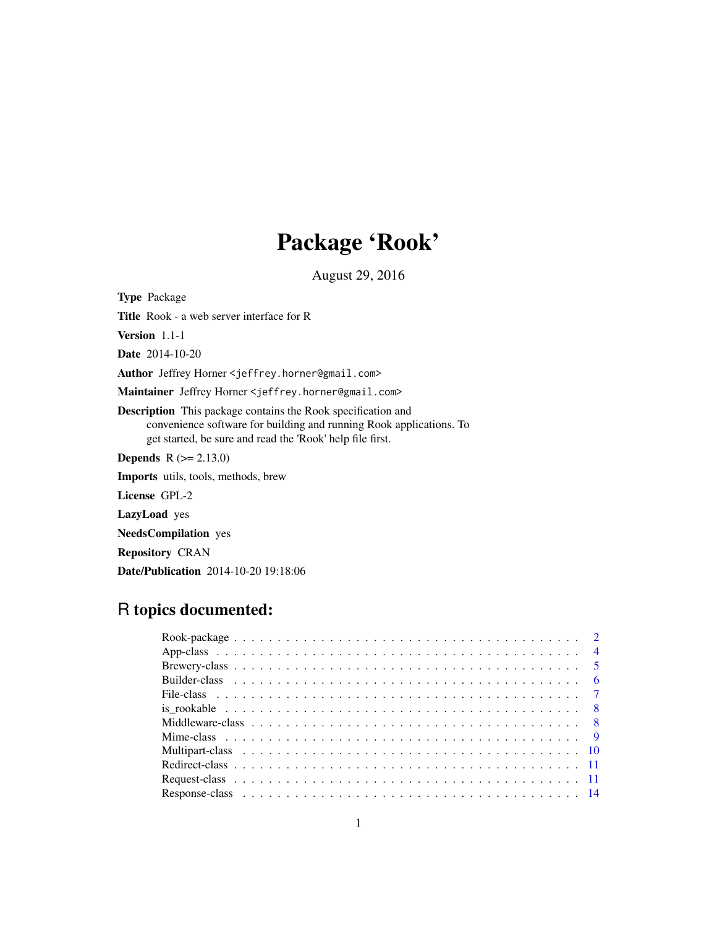# Package 'Rook'

August 29, 2016

<span id="page-0-0"></span>Type Package

Title Rook - a web server interface for R

Version 1.1-1

Date 2014-10-20

Author Jeffrey Horner <jeffrey.horner@gmail.com>

Maintainer Jeffrey Horner <jeffrey.horner@gmail.com>

Description This package contains the Rook specification and convenience software for building and running Rook applications. To get started, be sure and read the 'Rook' help file first.

**Depends**  $R (= 2.13.0)$ 

Imports utils, tools, methods, brew

License GPL-2

LazyLoad yes

NeedsCompilation yes

Repository CRAN

Date/Publication 2014-10-20 19:18:06

# R topics documented: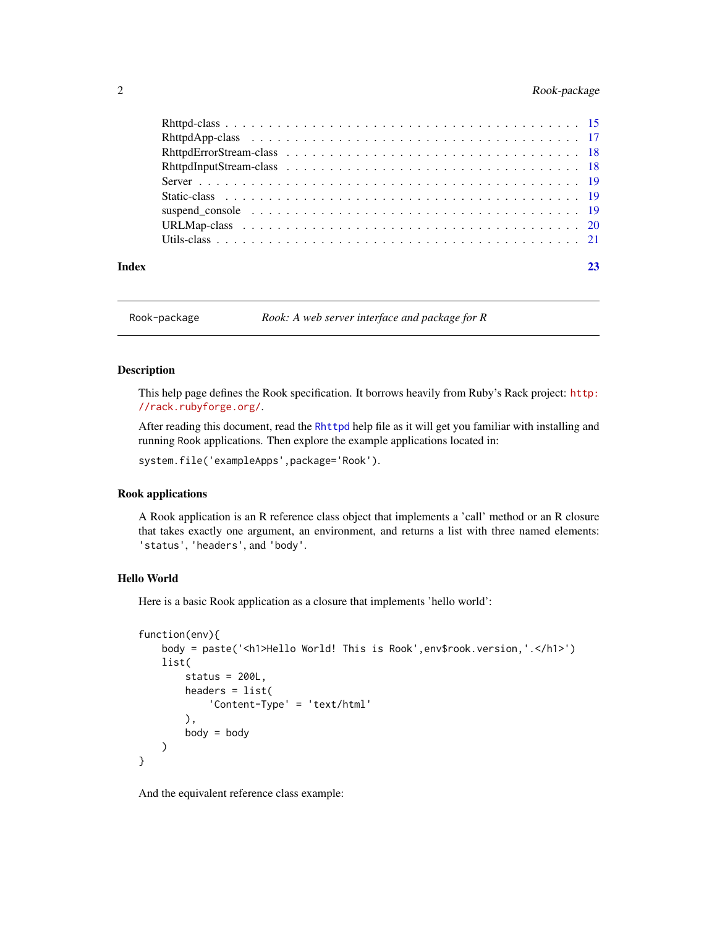<span id="page-1-0"></span>

| Index |  |  |  |  |  |  |  |  |  |  |  |  |  |  |  |  |  |
|-------|--|--|--|--|--|--|--|--|--|--|--|--|--|--|--|--|--|

Rook-package *Rook: A web server interface and package for R*

#### <span id="page-1-1"></span>Description

This help page defines the Rook specification. It borrows heavily from Ruby's Rack project: [http:](http://rack.rubyforge.org/) [//rack.rubyforge.org/](http://rack.rubyforge.org/).

After reading this document, read the [Rhttpd](#page-14-1) help file as it will get you familiar with installing and running Rook applications. Then explore the example applications located in:

system.file('exampleApps',package='Rook').

#### Rook applications

A Rook application is an R reference class object that implements a 'call' method or an R closure that takes exactly one argument, an environment, and returns a list with three named elements: 'status', 'headers', and 'body'.

# Hello World

Here is a basic Rook application as a closure that implements 'hello world':

```
function(env){
    body = paste('<h1>Hello World! This is Rook',env$rook.version,'.</h1>')
    list(
        status = 200L,
        headers = list(
            'Content-Type' = 'text/html'
        ),
        body = body)
}
```
And the equivalent reference class example: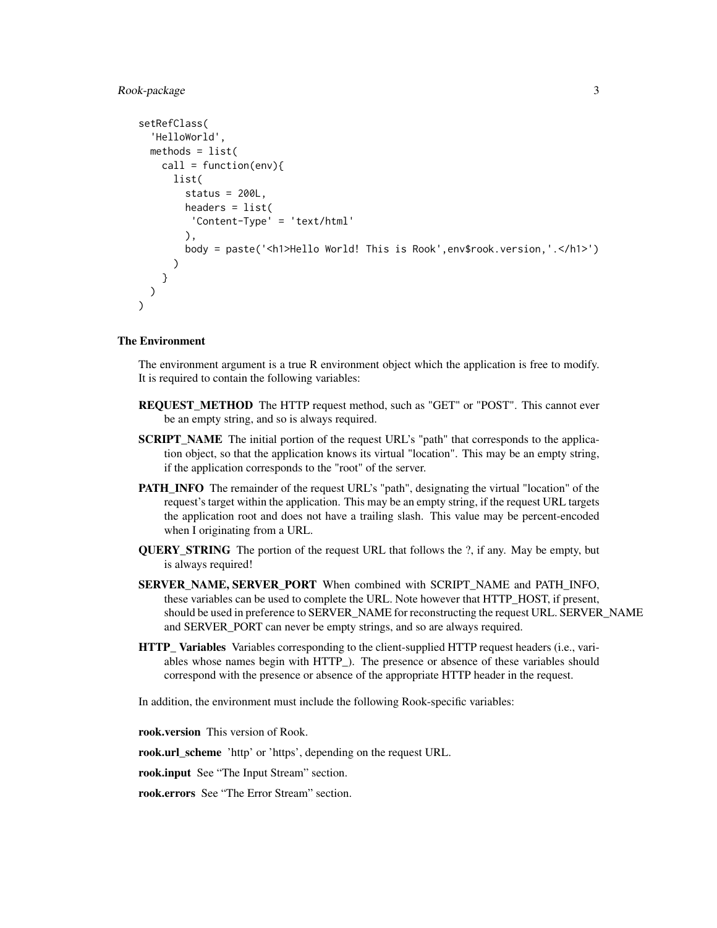# Rook-package 3

```
setRefClass(
  'HelloWorld',
 methods = list(call = function(env)list(
       status = 200L,
       headers = list(
         'Content-Type' = 'text/html'
       ),
       body = paste('<h1>Hello World! This is Rook',env$rook.version,'.</h1>')
     )
   }
 )
)
```
# The Environment

The environment argument is a true R environment object which the application is free to modify. It is required to contain the following variables:

- REQUEST\_METHOD The HTTP request method, such as "GET" or "POST". This cannot ever be an empty string, and so is always required.
- SCRIPT\_NAME The initial portion of the request URL's "path" that corresponds to the application object, so that the application knows its virtual "location". This may be an empty string, if the application corresponds to the "root" of the server.
- PATH\_INFO The remainder of the request URL's "path", designating the virtual "location" of the request's target within the application. This may be an empty string, if the request URL targets the application root and does not have a trailing slash. This value may be percent-encoded when I originating from a URL.
- **QUERY STRING** The portion of the request URL that follows the ?, if any. May be empty, but is always required!
- SERVER\_NAME, SERVER\_PORT When combined with SCRIPT\_NAME and PATH\_INFO, these variables can be used to complete the URL. Note however that HTTP\_HOST, if present, should be used in preference to SERVER\_NAME for reconstructing the request URL. SERVER\_NAME and SERVER\_PORT can never be empty strings, and so are always required.
- HTTP\_ Variables Variables corresponding to the client-supplied HTTP request headers (i.e., variables whose names begin with HTTP\_). The presence or absence of these variables should correspond with the presence or absence of the appropriate HTTP header in the request.

In addition, the environment must include the following Rook-specific variables:

rook.version This version of Rook.

rook.url\_scheme 'http' or 'https', depending on the request URL.

rook.input See "The Input Stream" section.

rook.errors See "The Error Stream" section.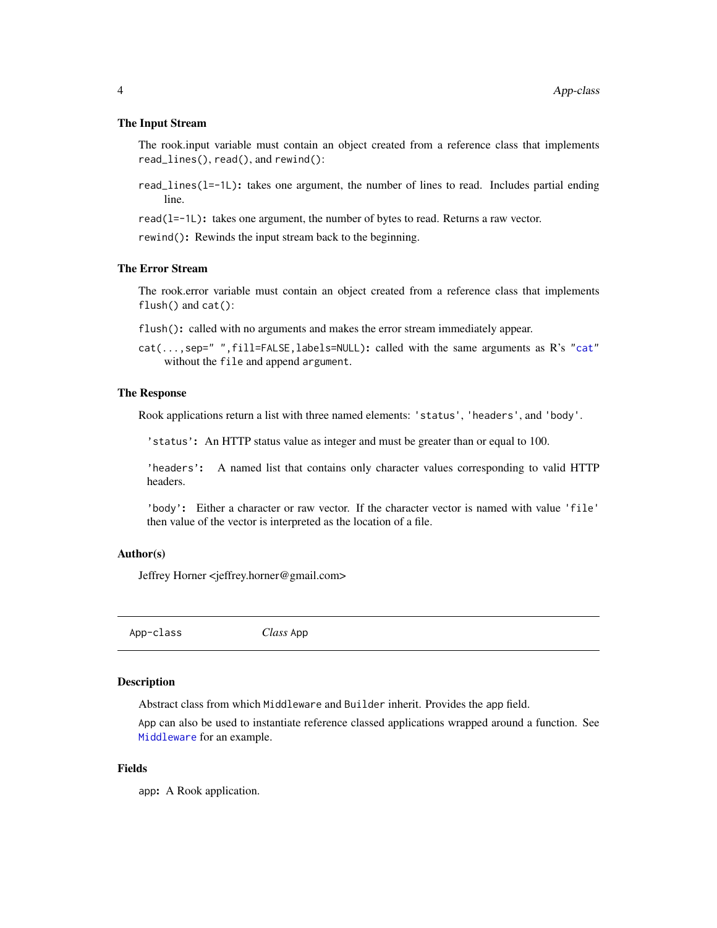#### <span id="page-3-0"></span>The Input Stream

The rook.input variable must contain an object created from a reference class that implements read\_lines(), read(), and rewind():

read\_lines(l=-1L): takes one argument, the number of lines to read. Includes partial ending line.

read(l=-1L): takes one argument, the number of bytes to read. Returns a raw vector.

rewind(): Rewinds the input stream back to the beginning.

#### The Error Stream

The rook.error variable must contain an object created from a reference class that implements flush() and cat():

flush(): called with no arguments and makes the error stream immediately appear.

cat(...,sep=" ",fill=FALSE,labels=NULL): called with the same arguments as R's ["cat"](#page-0-0) without the file and append argument.

# The Response

Rook applications return a list with three named elements: 'status', 'headers', and 'body'.

'status': An HTTP status value as integer and must be greater than or equal to 100.

'headers': A named list that contains only character values corresponding to valid HTTP headers.

'body': Either a character or raw vector. If the character vector is named with value 'file' then value of the vector is interpreted as the location of a file.

#### Author(s)

Jeffrey Horner <jeffrey.horner@gmail.com>

App-class *Class* App

#### Description

Abstract class from which Middleware and Builder inherit. Provides the app field.

App can also be used to instantiate reference classed applications wrapped around a function. See [Middleware](#page-7-1) for an example.

# Fields

app: A Rook application.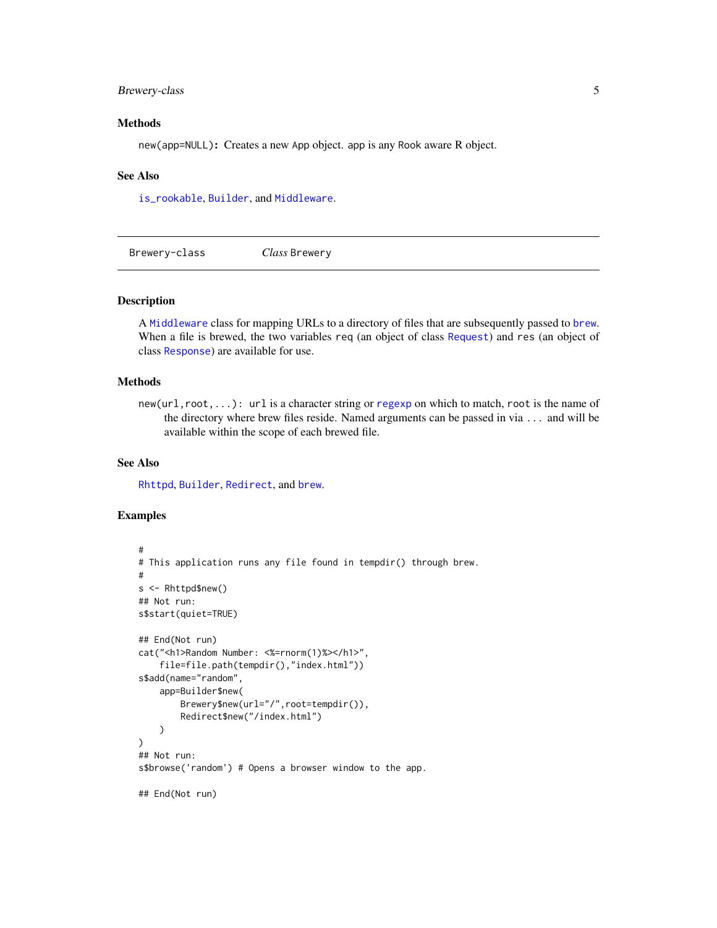# <span id="page-4-0"></span>Brewery-class 5

# Methods

new(app=NULL): Creates a new App object. app is any Rook aware R object.

#### See Also

[is\\_rookable](#page-7-2), [Builder](#page-5-1), and [Middleware](#page-7-1).

Brewery-class *Class* Brewery

#### <span id="page-4-1"></span>Description

A [Middleware](#page-7-1) class for mapping URLs to a directory of files that are subsequently passed to [brew](#page-0-0). When a file is brewed, the two variables req (an object of class [Request](#page-10-1)) and res (an object of class [Response](#page-13-1)) are available for use.

# Methods

new(url,root,...): url is a character string or [regexp](#page-0-0) on which to match, root is the name of the directory where brew files reside. Named arguments can be passed in via ... and will be available within the scope of each brewed file.

# See Also

[Rhttpd](#page-14-1), [Builder](#page-5-1), [Redirect](#page-10-2), and [brew](#page-0-0).

```
#
# This application runs any file found in tempdir() through brew.
#
s <- Rhttpd$new()
## Not run:
s$start(quiet=TRUE)
## End(Not run)
cat("<h1>Random Number: <%=rnorm(1)%></h1>",
    file=file.path(tempdir(),"index.html"))
s$add(name="random",
   app=Builder$new(
       Brewery$new(url="/",root=tempdir()),
        Redirect$new("/index.html")
   )
)
## Not run:
s$browse('random') # Opens a browser window to the app.
## End(Not run)
```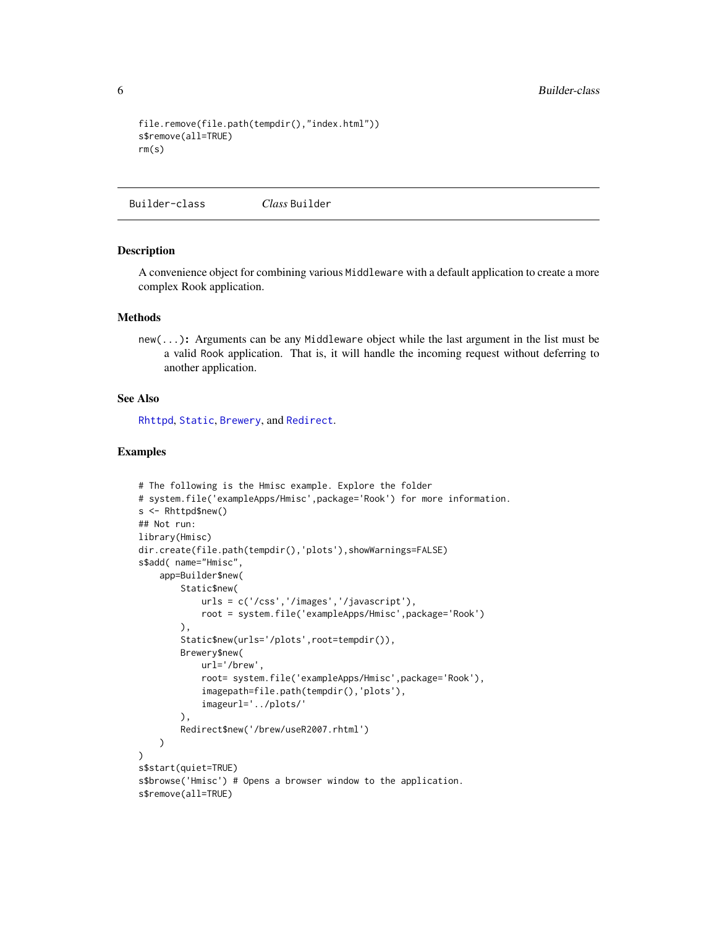```
file.remove(file.path(tempdir(),"index.html"))
s$remove(all=TRUE)
rm(s)
```
Builder-class *Class* Builder

#### <span id="page-5-1"></span>Description

A convenience object for combining various Middleware with a default application to create a more complex Rook application.

#### Methods

new(...): Arguments can be any Middleware object while the last argument in the list must be a valid Rook application. That is, it will handle the incoming request without deferring to another application.

#### See Also

[Rhttpd](#page-14-1), [Static](#page-18-1), [Brewery](#page-4-1), and [Redirect](#page-10-2).

```
# The following is the Hmisc example. Explore the folder
# system.file('exampleApps/Hmisc',package='Rook') for more information.
s <- Rhttpd$new()
## Not run:
library(Hmisc)
dir.create(file.path(tempdir(),'plots'),showWarnings=FALSE)
s$add( name="Hmisc",
    app=Builder$new(
        Static$new(
            urls = c('/css','/images','/javascript'),
            root = system.file('exampleApps/Hmisc',package='Rook')
        ),
        Static$new(urls='/plots',root=tempdir()),
        Brewery$new(
            url='/brew',
            root= system.file('exampleApps/Hmisc',package='Rook'),
            imagepath=file.path(tempdir(),'plots'),
            imageurl='../plots/'
        ),
        Redirect$new('/brew/useR2007.rhtml')
   )
)
s$start(quiet=TRUE)
s$browse('Hmisc') # Opens a browser window to the application.
s$remove(all=TRUE)
```
<span id="page-5-0"></span>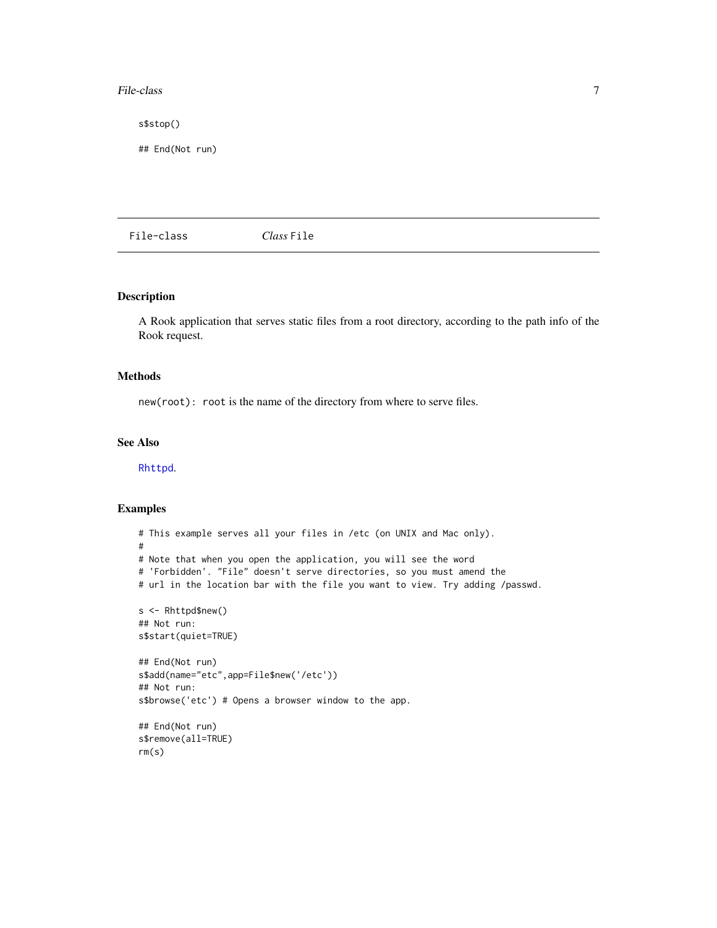#### <span id="page-6-0"></span>File-class 7

s\$stop()

## End(Not run)

File-class *Class* File

# Description

A Rook application that serves static files from a root directory, according to the path info of the Rook request.

#### Methods

new(root): root is the name of the directory from where to serve files.

#### See Also

[Rhttpd](#page-14-1).

```
# This example serves all your files in /etc (on UNIX and Mac only).
#
# Note that when you open the application, you will see the word
# 'Forbidden'. "File" doesn't serve directories, so you must amend the
# url in the location bar with the file you want to view. Try adding /passwd.
s <- Rhttpd$new()
## Not run:
s$start(quiet=TRUE)
## End(Not run)
s$add(name="etc",app=File$new('/etc'))
## Not run:
s$browse('etc') # Opens a browser window to the app.
## End(Not run)
s$remove(all=TRUE)
rm(s)
```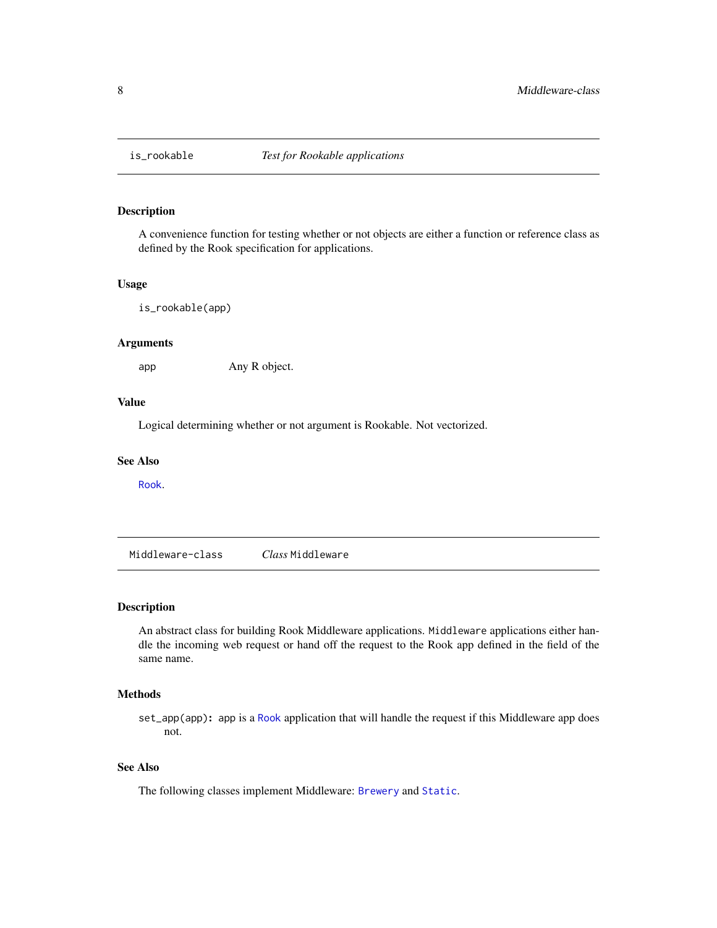<span id="page-7-2"></span><span id="page-7-0"></span>

# Description

A convenience function for testing whether or not objects are either a function or reference class as defined by the Rook specification for applications.

#### Usage

is\_rookable(app)

#### Arguments

app Any R object.

#### Value

Logical determining whether or not argument is Rookable. Not vectorized.

#### See Also

[Rook](#page-1-1).

Middleware-class *Class* Middleware

#### <span id="page-7-1"></span>Description

An abstract class for building Rook Middleware applications. Middleware applications either handle the incoming web request or hand off the request to the Rook app defined in the field of the same name.

# Methods

set\_app(app): app is a [Rook](#page-1-1) application that will handle the request if this Middleware app does not.

# See Also

The following classes implement Middleware: [Brewery](#page-4-1) and [Static](#page-18-1).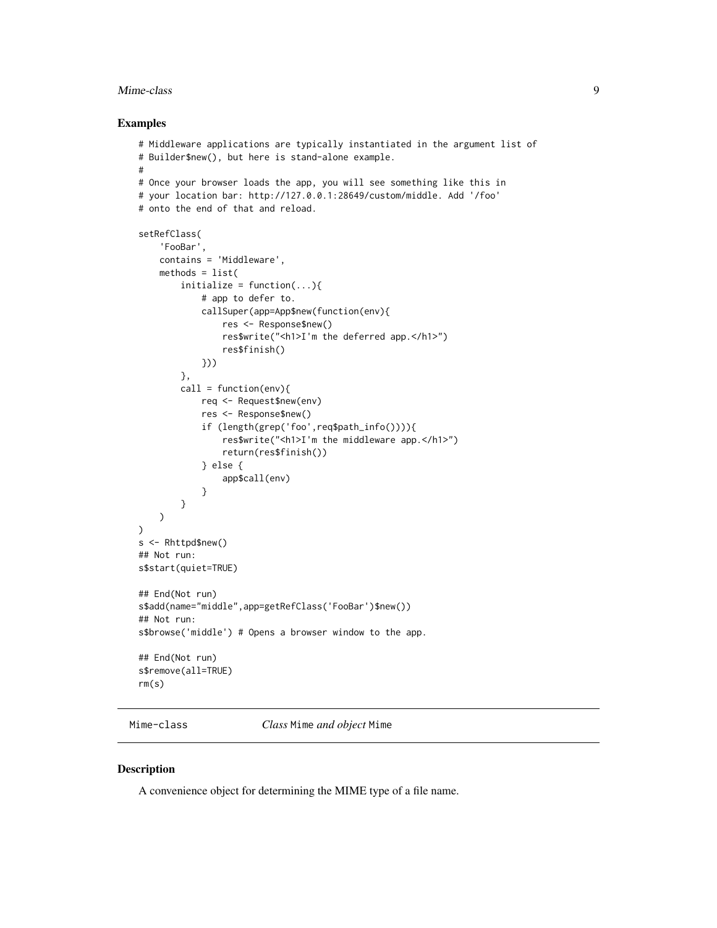#### <span id="page-8-0"></span>Mime-class 9

#### Examples

```
# Middleware applications are typically instantiated in the argument list of
# Builder$new(), but here is stand-alone example.
#
# Once your browser loads the app, you will see something like this in
# your location bar: http://127.0.0.1:28649/custom/middle. Add '/foo'
# onto the end of that and reload.
setRefClass(
    'FooBar',
    contains = 'Middleware',
    methods = list(
        initialize = function(...){
            # app to defer to.
            callSuper(app=App$new(function(env){
                res <- Response$new()
                res$write("<h1>I'm the deferred app.</h1>")
                res$finish()
            }))
        },
        call = function(env)req <- Request$new(env)
            res <- Response$new()
            if (length(grep('foo',req$path_info()))){
                res$write("<h1>I'm the middleware app.</h1>")
                return(res$finish())
            } else {
                app$call(env)
            }
        }
   )
)
s <- Rhttpd$new()
## Not run:
s$start(quiet=TRUE)
## End(Not run)
s$add(name="middle",app=getRefClass('FooBar')$new())
## Not run:
s$browse('middle') # Opens a browser window to the app.
## End(Not run)
s$remove(all=TRUE)
rm(s)
```
Mime-class *Class* Mime *and object* Mime

#### Description

A convenience object for determining the MIME type of a file name.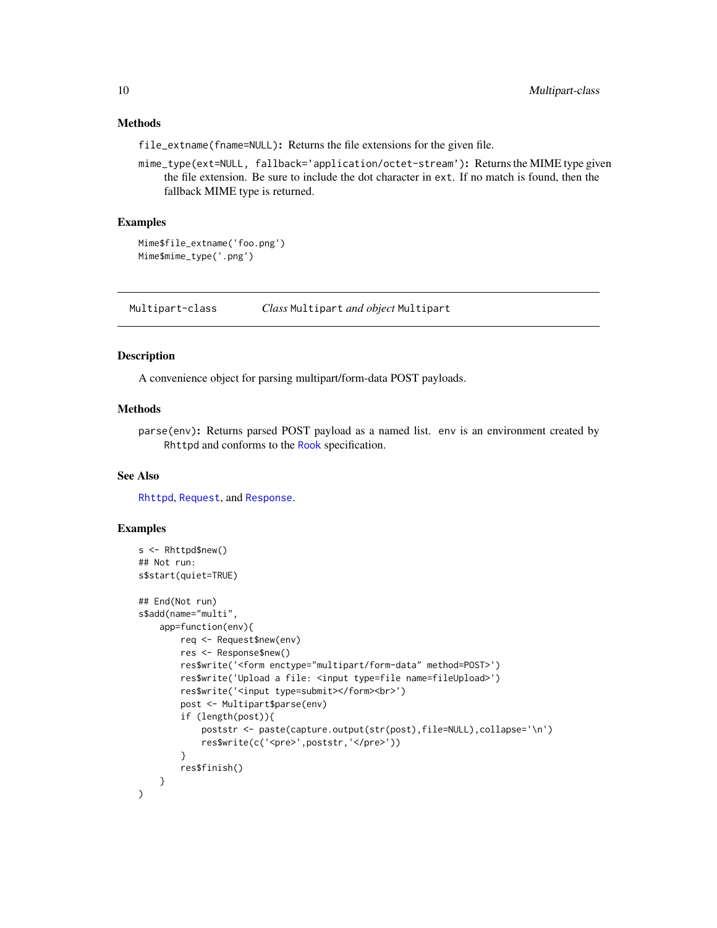# <span id="page-9-0"></span>Methods

file\_extname(fname=NULL): Returns the file extensions for the given file.

mime\_type(ext=NULL, fallback='application/octet-stream'): Returns the MIME type given the file extension. Be sure to include the dot character in ext. If no match is found, then the fallback MIME type is returned.

#### Examples

```
Mime$file_extname('foo.png')
Mime$mime_type('.png')
```
Multipart-class *Class* Multipart *and object* Multipart

# <span id="page-9-1"></span>Description

A convenience object for parsing multipart/form-data POST payloads.

# Methods

parse(env): Returns parsed POST payload as a named list. env is an environment created by Rhttpd and conforms to the [Rook](#page-1-1) specification.

#### See Also

[Rhttpd](#page-14-1), [Request](#page-10-1), and [Response](#page-13-1).

```
s <- Rhttpd$new()
## Not run:
s$start(quiet=TRUE)
## End(Not run)
s$add(name="multi",
    app=function(env){
       req <- Request$new(env)
        res <- Response$new()
        res$write('<form enctype="multipart/form-data" method=POST>')
        res$write('Upload a file: <input type=file name=fileUpload>')
        res$write('<input type=submit></form><br>')
        post <- Multipart$parse(env)
        if (length(post)){
            poststr <- paste(capture.output(str(post),file=NULL),collapse='\n')
            res$write(c('<pre>',poststr,'</pre>'))
        }
        res$finish()
   }
)
```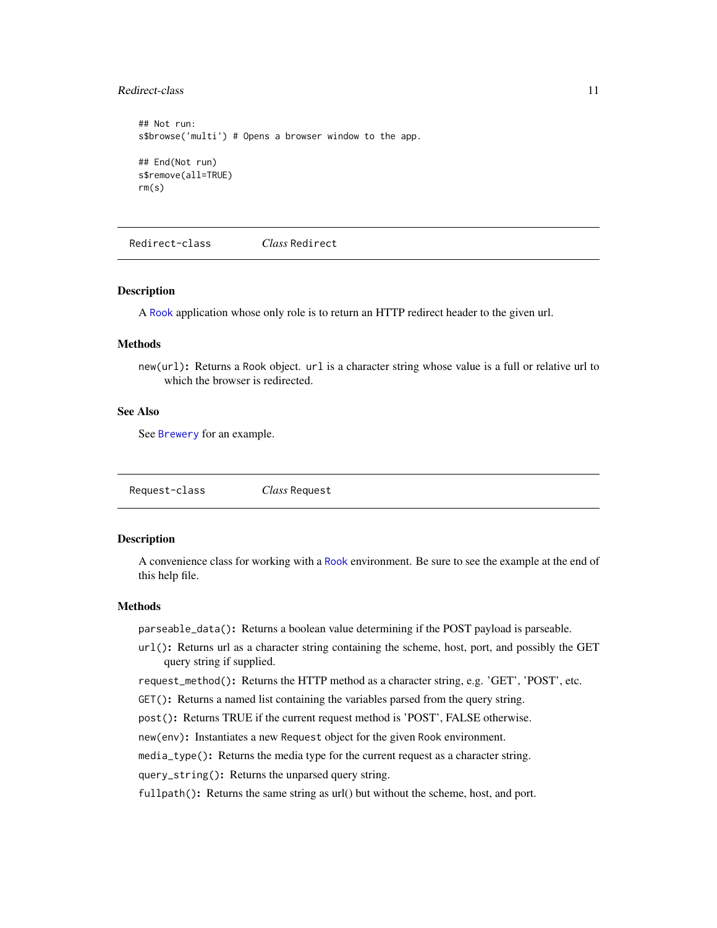#### <span id="page-10-0"></span>Redirect-class 11

```
## Not run:
s$browse('multi') # Opens a browser window to the app.
## End(Not run)
s$remove(all=TRUE)
rm(s)
```
Redirect-class *Class* Redirect

#### <span id="page-10-2"></span>Description

A [Rook](#page-1-1) application whose only role is to return an HTTP redirect header to the given url.

#### **Methods**

new(url): Returns a Rook object. url is a character string whose value is a full or relative url to which the browser is redirected.

# See Also

See [Brewery](#page-4-1) for an example.

Request-class *Class* Request

#### <span id="page-10-1"></span>**Description**

A convenience class for working with a [Rook](#page-1-1) environment. Be sure to see the example at the end of this help file.

# Methods

parseable\_data(): Returns a boolean value determining if the POST payload is parseable.

url(): Returns url as a character string containing the scheme, host, port, and possibly the GET query string if supplied.

request\_method(): Returns the HTTP method as a character string, e.g. 'GET', 'POST', etc.

GET(): Returns a named list containing the variables parsed from the query string.

post(): Returns TRUE if the current request method is 'POST', FALSE otherwise.

new(env): Instantiates a new Request object for the given Rook environment.

media\_type(): Returns the media type for the current request as a character string.

query\_string(): Returns the unparsed query string.

fullpath(): Returns the same string as url() but without the scheme, host, and port.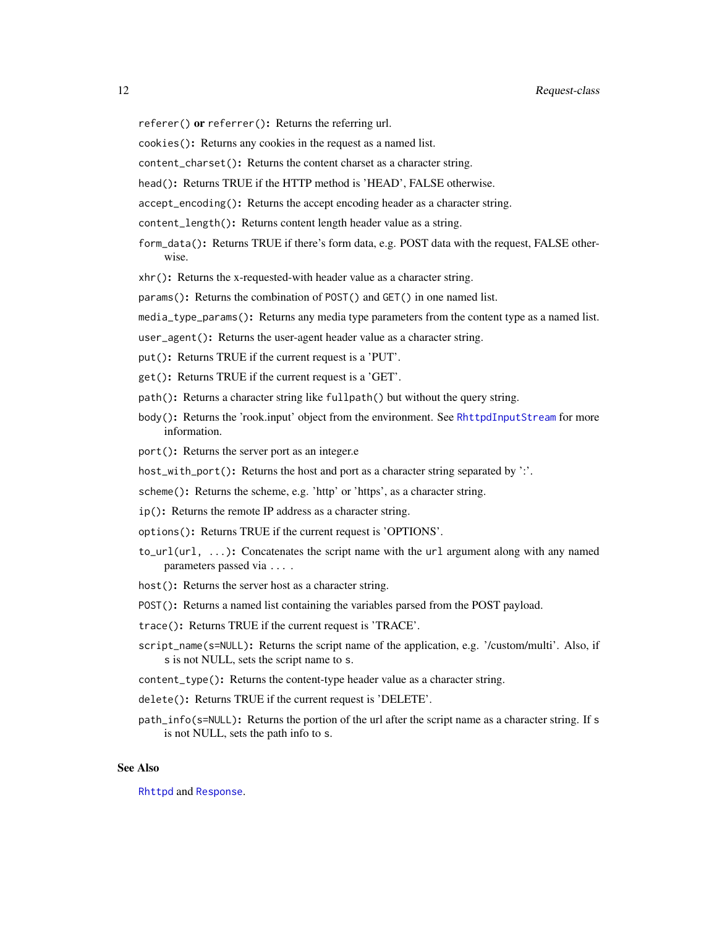- <span id="page-11-0"></span>referer() or referrer(): Returns the referring url.
- cookies(): Returns any cookies in the request as a named list.
- content\_charset(): Returns the content charset as a character string.

head(): Returns TRUE if the HTTP method is 'HEAD', FALSE otherwise.

accept\_encoding(): Returns the accept encoding header as a character string.

- content\_length(): Returns content length header value as a string.
- form\_data(): Returns TRUE if there's form data, e.g. POST data with the request, FALSE otherwise.
- xhr(): Returns the x-requested-with header value as a character string.

params(): Returns the combination of POST() and GET() in one named list.

- media\_type\_params(): Returns any media type parameters from the content type as a named list.
- user\_agent(): Returns the user-agent header value as a character string.
- put(): Returns TRUE if the current request is a 'PUT'.
- get(): Returns TRUE if the current request is a 'GET'.
- path(): Returns a character string like fullpath() but without the query string.
- body(): Returns the 'rook.input' object from the environment. See [RhttpdInputStream](#page-17-1) for more information.
- port(): Returns the server port as an integer.e
- host\_with\_port(): Returns the host and port as a character string separated by ':'.
- scheme(): Returns the scheme, e.g. 'http' or 'https', as a character string.
- ip(): Returns the remote IP address as a character string.
- options(): Returns TRUE if the current request is 'OPTIONS'.
- to\_url(url, ...): Concatenates the script name with the url argument along with any named parameters passed via ... .
- host(): Returns the server host as a character string.
- POST(): Returns a named list containing the variables parsed from the POST payload.
- trace(): Returns TRUE if the current request is 'TRACE'.
- script\_name(s=NULL): Returns the script name of the application, e.g. '/custom/multi'. Also, if s is not NULL, sets the script name to s.
- content\_type(): Returns the content-type header value as a character string.
- delete(): Returns TRUE if the current request is 'DELETE'.
- path\_info(s=NULL): Returns the portion of the url after the script name as a character string. If s is not NULL, sets the path info to s.

#### See Also

[Rhttpd](#page-14-1) and [Response](#page-13-1).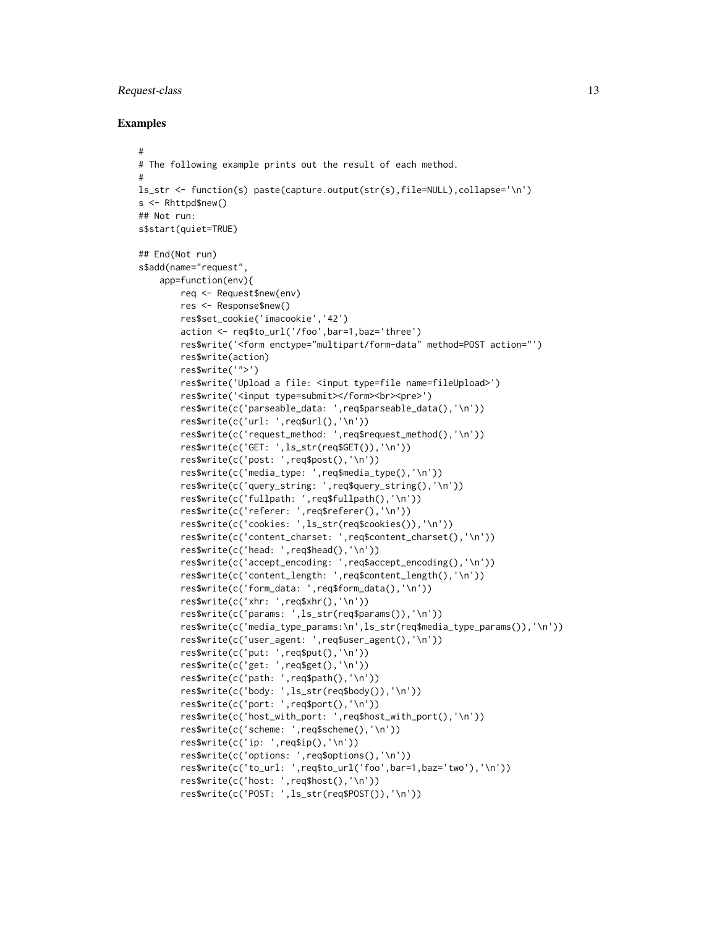#### Request-class 13

## Examples

#

#

```
# The following example prints out the result of each method.
ls_str <- function(s) paste(capture.output(str(s),file=NULL),collapse='\n')
s <- Rhttpd$new()
## Not run:
s$start(quiet=TRUE)
## End(Not run)
s$add(name="request",
    app=function(env){
        req <- Request$new(env)
        res <- Response$new()
        res$set_cookie('imacookie','42')
        action <- req$to_url('/foo',bar=1,baz='three')
        res$write('<form enctype="multipart/form-data" method=POST action="')
        res$write(action)
        res$write('">')
        res$write('Upload a file: <input type=file name=fileUpload>')
        res$write('<input type=submit></form><br><pre>')
        res$write(c('parseable_data: ',req$parseable_data(),'\n'))
        res$write(c('url: ',req$url(),'\n'))
        res$write(c('request_method: ',req$request_method(),'\n'))
        res$write(c('GET: ',ls_str(req$GET()),'\n'))
        res$write(c('post: ',req$post(),'\n'))
        res$write(c('media_type: ',req$media_type(),'\n'))
        res$write(c('query_string: ',req$query_string(),'\n'))
        res$write(c('fullpath: ',req$fullpath(),'\n'))
        res$write(c('referer: ',req$referer(),'\n'))
        res$write(c('cookies: ',ls_str(req$cookies()),'\n'))
        res$write(c('content_charset: ',req$content_charset(),'\n'))
        res$write(c('head: ',req$head(),'\n'))
        res$write(c('accept_encoding: ',req$accept_encoding(),'\n'))
        res$write(c('content_length: ',req$content_length(),'\n'))
        res$write(c('form_data: ',req$form_data(),'\n'))
        res$write(c('xhr: ',req$xhr(),'\n'))
        res$write(c('params: ',ls_str(req$params()),'\n'))
        res$write(c('media_type_params:\n',ls_str(req$media_type_params()),'\n'))
        res$write(c('user_agent: ',req$user_agent(),'\n'))
        res$write(c('put: ',req$put(),'\n'))
        res$write(c('get: ',req$get(),'\n'))
        res$write(c('path: ',req$path(),'\n'))
        res$write(c('body: ',ls_str(req$body()),'\n'))
        res$write(c('port: ',req$port(),'\n'))
        res$write(c('host_with_port: ',req$host_with_port(),'\n'))
        res$write(c('scheme: ',req$scheme(),'\n'))
        res$write(c('ip: ',req$ip(),'\n'))
        res$write(c('options: ',req$options(),'\n'))
        res$write(c('to_url: ',req$to_url('foo',bar=1,baz='two'),'\n'))
        res$write(c('host: ',req$host(),'\n'))
        res$write(c('POST: ',ls_str(req$POST()),'\n'))
```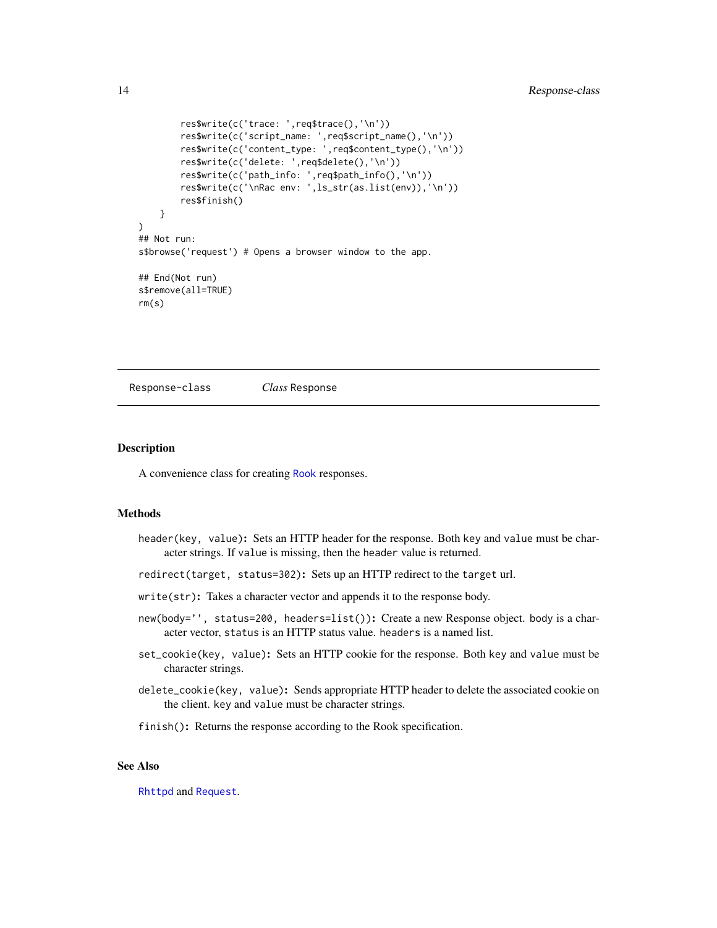```
res$write(c('trace: ',req$trace(),'\n'))
        res$write(c('script_name: ',req$script_name(),'\n'))
        res$write(c('content_type: ',req$content_type(),'\n'))
        res$write(c('delete: ',req$delete(),'\n'))
        res$write(c('path_info: ',req$path_info(),'\n'))
        res$write(c('\nRac env: ',ls_str(as.list(env)),'\n'))
        res$finish()
   }
)
## Not run:
s$browse('request') # Opens a browser window to the app.
## End(Not run)
s$remove(all=TRUE)
rm(s)
```
Response-class *Class* Response

#### <span id="page-13-1"></span>Description

A convenience class for creating [Rook](#page-1-1) responses.

#### Methods

- header(key, value): Sets an HTTP header for the response. Both key and value must be character strings. If value is missing, then the header value is returned.
- redirect(target, status=302): Sets up an HTTP redirect to the target url.
- write(str): Takes a character vector and appends it to the response body.
- new(body='', status=200, headers=list()): Create a new Response object. body is a character vector, status is an HTTP status value. headers is a named list.
- set\_cookie(key, value): Sets an HTTP cookie for the response. Both key and value must be character strings.
- delete\_cookie(key, value): Sends appropriate HTTP header to delete the associated cookie on the client. key and value must be character strings.
- finish(): Returns the response according to the Rook specification.

# See Also

[Rhttpd](#page-14-1) and [Request](#page-10-1).

<span id="page-13-0"></span>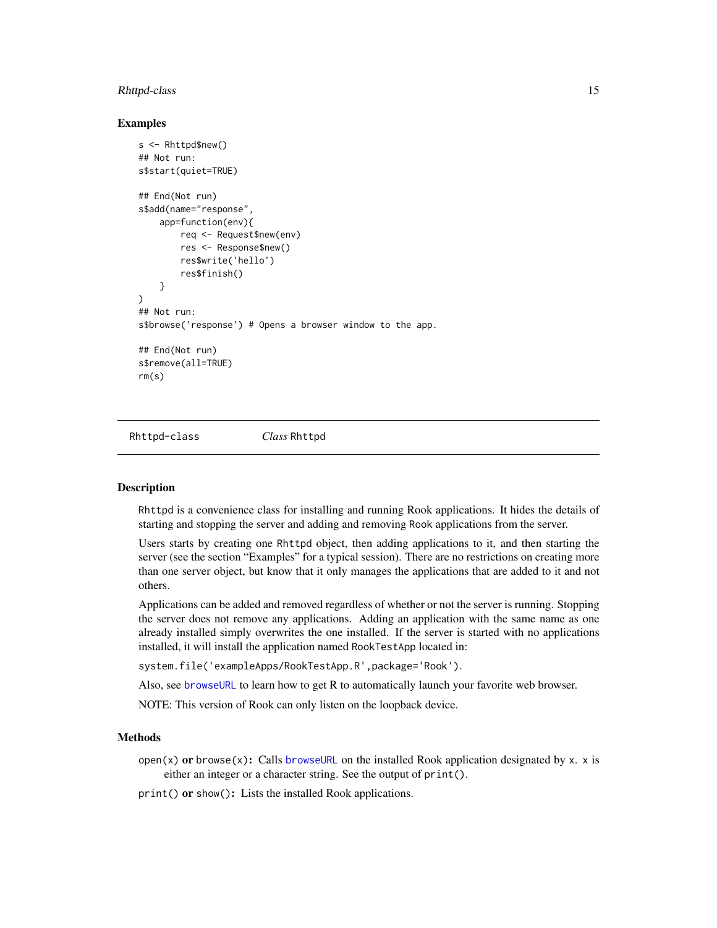#### <span id="page-14-0"></span>Rhttpd-class 15

#### Examples

```
s <- Rhttpd$new()
## Not run:
s$start(quiet=TRUE)
## End(Not run)
s$add(name="response",
    app=function(env){
        req <- Request$new(env)
        res <- Response$new()
        res$write('hello')
        res$finish()
    }
)
## Not run:
s$browse('response') # Opens a browser window to the app.
## End(Not run)
s$remove(all=TRUE)
rm(s)
```
Rhttpd-class *Class* Rhttpd

#### <span id="page-14-1"></span>Description

Rhttpd is a convenience class for installing and running Rook applications. It hides the details of starting and stopping the server and adding and removing Rook applications from the server.

Users starts by creating one Rhttpd object, then adding applications to it, and then starting the server (see the section "Examples" for a typical session). There are no restrictions on creating more than one server object, but know that it only manages the applications that are added to it and not others.

Applications can be added and removed regardless of whether or not the server is running. Stopping the server does not remove any applications. Adding an application with the same name as one already installed simply overwrites the one installed. If the server is started with no applications installed, it will install the application named RookTestApp located in:

system.file('exampleApps/RookTestApp.R',package='Rook').

Also, see [browseURL](#page-0-0) to learn how to get R to automatically launch your favorite web browser.

NOTE: This version of Rook can only listen on the loopback device.

#### Methods

open(x) or browse(x): Calls [browseURL](#page-0-0) on the installed Rook application designated by x. x is either an integer or a character string. See the output of print().

print() or show(): Lists the installed Rook applications.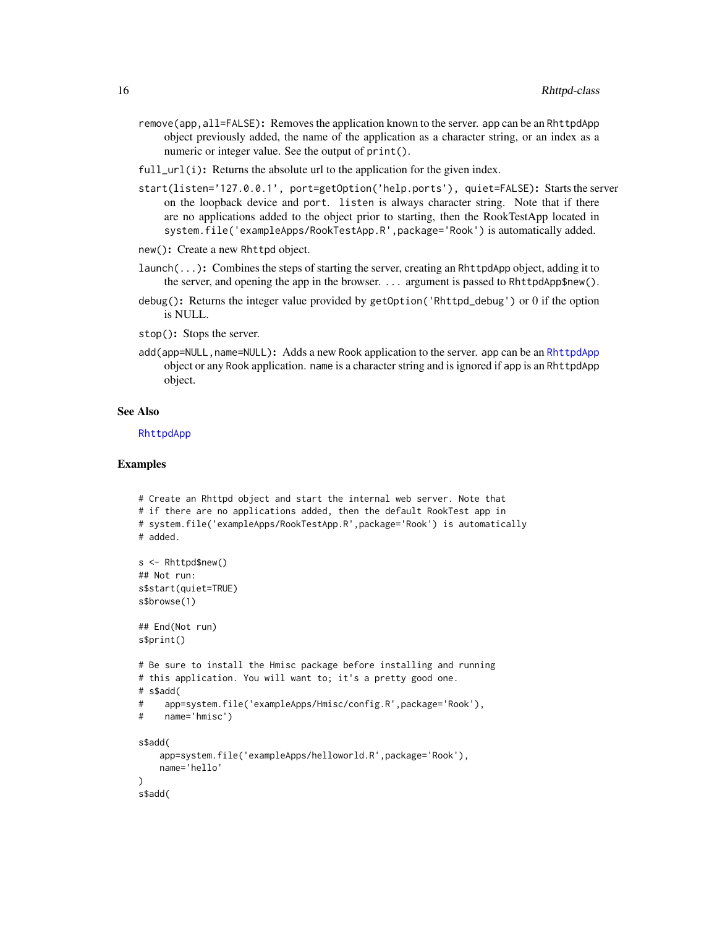- <span id="page-15-0"></span>remove(app, all=FALSE): Removes the application known to the server. app can be an RhttpdApp object previously added, the name of the application as a character string, or an index as a numeric or integer value. See the output of print().
- full\_url(i): Returns the absolute url to the application for the given index.
- start(listen='127.0.0.1', port=getOption('help.ports'), quiet=FALSE): Starts the server on the loopback device and port. listen is always character string. Note that if there are no applications added to the object prior to starting, then the RookTestApp located in system.file('exampleApps/RookTestApp.R',package='Rook') is automatically added.

```
new(): Create a new Rhttpd object.
```
- launch(...): Combines the steps of starting the server, creating an RhttpdApp object, adding it to the server, and opening the app in the browser. ... argument is passed to RhttpdApp\$new().
- debug(): Returns the integer value provided by getOption('Rhttpd\_debug') or 0 if the option is NULL.
- stop(): Stops the server.
- add(app=NULL, name=NULL): Adds a new Rook application to the server. app can be an [RhttpdApp](#page-16-1) object or any Rook application. name is a character string and is ignored if app is an RhttpdApp object.

#### See Also

[RhttpdApp](#page-16-1)

```
# Create an Rhttpd object and start the internal web server. Note that
# if there are no applications added, then the default RookTest app in
# system.file('exampleApps/RookTestApp.R',package='Rook') is automatically
# added.
s <- Rhttpd$new()
## Not run:
s$start(quiet=TRUE)
s$browse(1)
## End(Not run)
s$print()
# Be sure to install the Hmisc package before installing and running
# this application. You will want to; it's a pretty good one.
# s$add(
# app=system.file('exampleApps/Hmisc/config.R',package='Rook'),
# name='hmisc')
s$add(
    app=system.file('exampleApps/helloworld.R',package='Rook'),
   name='hello'
)
s$add(
```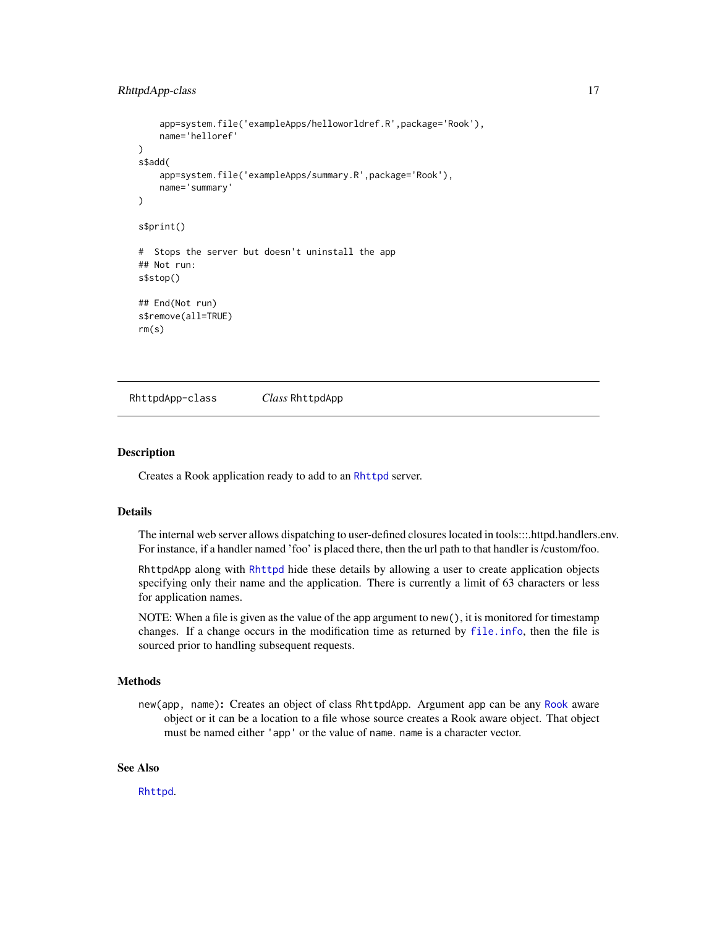# <span id="page-16-0"></span>RhttpdApp-class 17

```
app=system.file('exampleApps/helloworldref.R',package='Rook'),
   name='helloref'
)
s$add(
    app=system.file('exampleApps/summary.R',package='Rook'),
   name='summary'
)
s$print()
# Stops the server but doesn't uninstall the app
## Not run:
s$stop()
## End(Not run)
s$remove(all=TRUE)
rm(s)
```
RhttpdApp-class *Class* RhttpdApp

#### <span id="page-16-1"></span>**Description**

Creates a Rook application ready to add to an [Rhttpd](#page-14-1) server.

### Details

The internal web server allows dispatching to user-defined closures located in tools:::.httpd.handlers.env. For instance, if a handler named 'foo' is placed there, then the url path to that handler is /custom/foo.

RhttpdApp along with [Rhttpd](#page-14-1) hide these details by allowing a user to create application objects specifying only their name and the application. There is currently a limit of 63 characters or less for application names.

NOTE: When a file is given as the value of the app argument to new(), it is monitored for timestamp changes. If a change occurs in the modification time as returned by [file.info](#page-0-0), then the file is sourced prior to handling subsequent requests.

#### Methods

new(app, name): Creates an object of class RhttpdApp. Argument app can be any [Rook](#page-1-1) aware object or it can be a location to a file whose source creates a Rook aware object. That object must be named either 'app' or the value of name. name is a character vector.

# See Also

[Rhttpd](#page-14-1).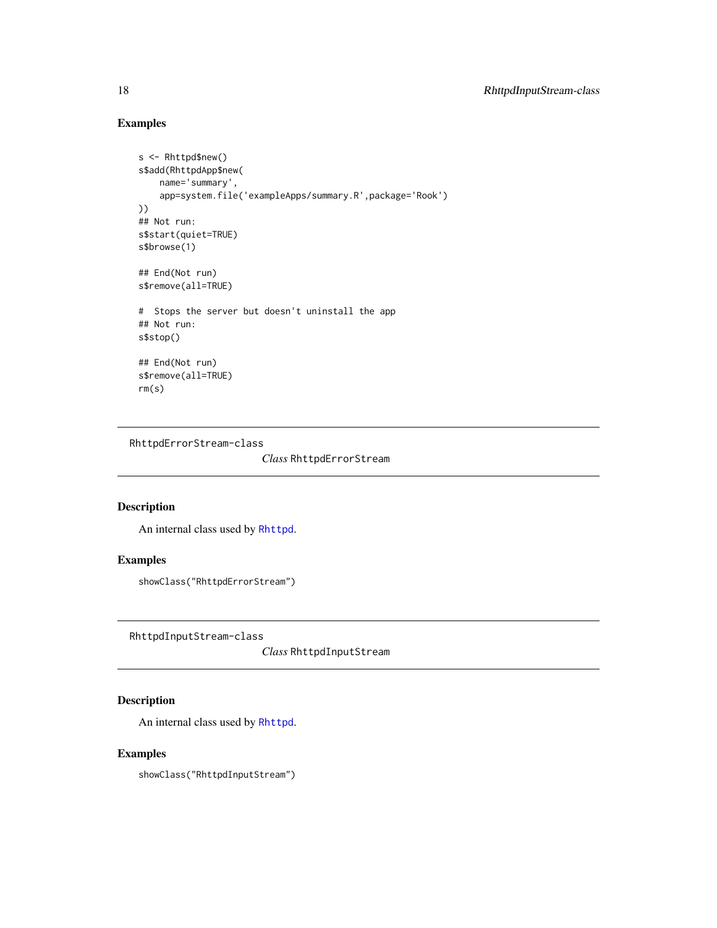# Examples

```
s <- Rhttpd$new()
s$add(RhttpdApp$new(
   name='summary',
   app=system.file('exampleApps/summary.R',package='Rook')
))
## Not run:
s$start(quiet=TRUE)
s$browse(1)
## End(Not run)
s$remove(all=TRUE)
# Stops the server but doesn't uninstall the app
## Not run:
s$stop()
## End(Not run)
s$remove(all=TRUE)
rm(s)
```
RhttpdErrorStream-class

*Class* RhttpdErrorStream

# Description

An internal class used by [Rhttpd](#page-14-1).

# Examples

showClass("RhttpdErrorStream")

RhttpdInputStream-class

*Class* RhttpdInputStream

# <span id="page-17-1"></span>Description

An internal class used by [Rhttpd](#page-14-1).

# Examples

showClass("RhttpdInputStream")

<span id="page-17-0"></span>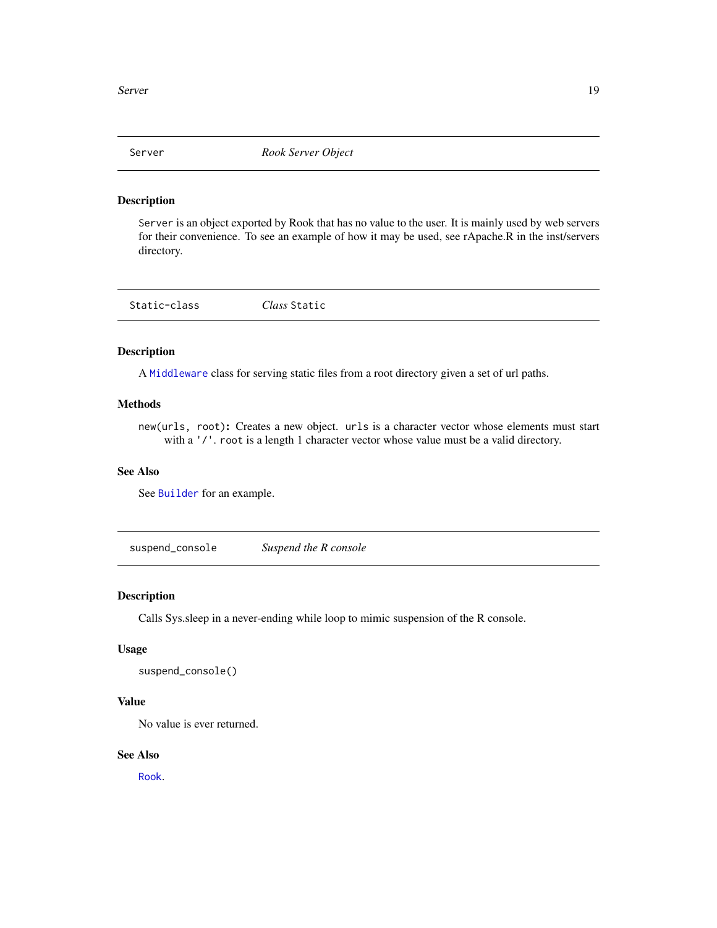<span id="page-18-0"></span>

#### Description

Server is an object exported by Rook that has no value to the user. It is mainly used by web servers for their convenience. To see an example of how it may be used, see rApache.R in the inst/servers directory.

| Static-class | Class Static |  |
|--------------|--------------|--|
|              |              |  |

#### <span id="page-18-1"></span>Description

A [Middleware](#page-7-1) class for serving static files from a root directory given a set of url paths.

## Methods

new(urls, root): Creates a new object. urls is a character vector whose elements must start with a '/'. root is a length 1 character vector whose value must be a valid directory.

# See Also

See [Builder](#page-5-1) for an example.

suspend\_console *Suspend the R console*

#### Description

Calls Sys.sleep in a never-ending while loop to mimic suspension of the R console.

#### Usage

```
suspend_console()
```
# Value

No value is ever returned.

#### See Also

[Rook](#page-1-1).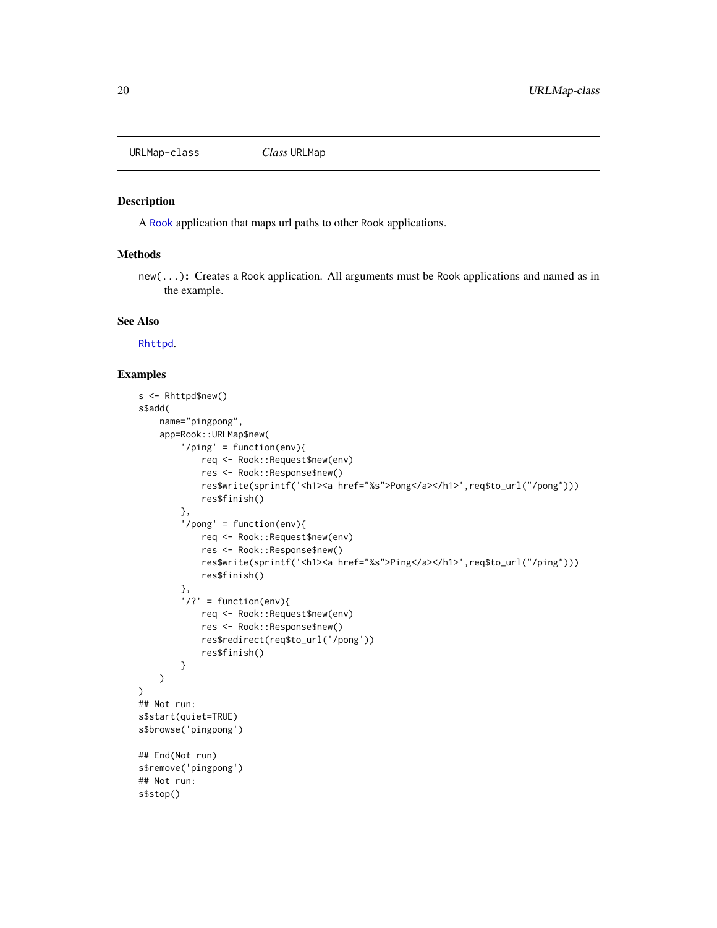<span id="page-19-0"></span>URLMap-class *Class* URLMap

#### Description

A [Rook](#page-1-1) application that maps url paths to other Rook applications.

# Methods

new(...): Creates a Rook application. All arguments must be Rook applications and named as in the example.

#### See Also

[Rhttpd](#page-14-1).

```
s <- Rhttpd$new()
s$add(
   name="pingpong",
   app=Rook::URLMap$new(
        '/ping' = function(env){
            req <- Rook::Request$new(env)
            res <- Rook::Response$new()
            res$write(sprintf('<h1><a href="%s">Pong</a></h1>',req$to_url("/pong")))
            res$finish()
        },
        '/pong' = function(env){
            req <- Rook::Request$new(env)
            res <- Rook::Response$new()
            res$write(sprintf('<h1><a href="%s">Ping</a></h1>',req$to_url("/ping")))
            res$finish()
        },
        '/?' = function(env){
            req <- Rook::Request$new(env)
            res <- Rook::Response$new()
            res$redirect(req$to_url('/pong'))
            res$finish()
        }
   )
)
## Not run:
s$start(quiet=TRUE)
s$browse('pingpong')
## End(Not run)
s$remove('pingpong')
## Not run:
s$stop()
```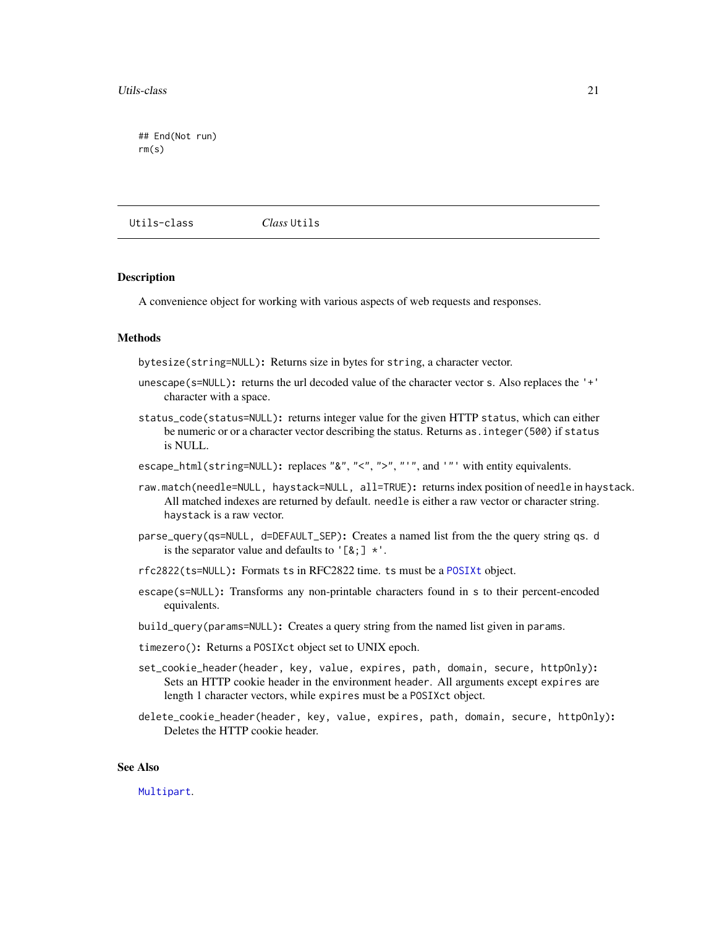<span id="page-20-0"></span>## End(Not run) rm(s)

Utils-class *Class* Utils

#### Description

A convenience object for working with various aspects of web requests and responses.

#### **Methods**

bytesize(string=NULL): Returns size in bytes for string, a character vector.

- unescape(s=NULL): returns the url decoded value of the character vector s. Also replaces the '+' character with a space.
- status\_code(status=NULL): returns integer value for the given HTTP status, which can either be numeric or or a character vector describing the status. Returns as. integer(500) if status is NULL.

escape\_html(string=NULL): replaces "&", "<", ">", "'", and '"' with entity equivalents.

- raw.match(needle=NULL, haystack=NULL, all=TRUE): returns index position of needle in haystack. All matched indexes are returned by default. needle is either a raw vector or character string. haystack is a raw vector.
- parse\_query(qs=NULL, d=DEFAULT\_SEP): Creates a named list from the the query string qs. d is the separator value and defaults to '[ $\&$ ;]  $*$ '.
- rfc2822(ts=NULL): Formats ts in RFC2822 time. ts must be a [POSIXt](#page-0-0) object.
- escape(s=NULL): Transforms any non-printable characters found in s to their percent-encoded equivalents.
- build\_query(params=NULL): Creates a query string from the named list given in params.
- timezero(): Returns a POSIXct object set to UNIX epoch.
- set\_cookie\_header(header, key, value, expires, path, domain, secure, httpOnly): Sets an HTTP cookie header in the environment header. All arguments except expires are length 1 character vectors, while expires must be a POSIXct object.
- delete\_cookie\_header(header, key, value, expires, path, domain, secure, httpOnly): Deletes the HTTP cookie header.

# See Also

[Multipart](#page-9-1).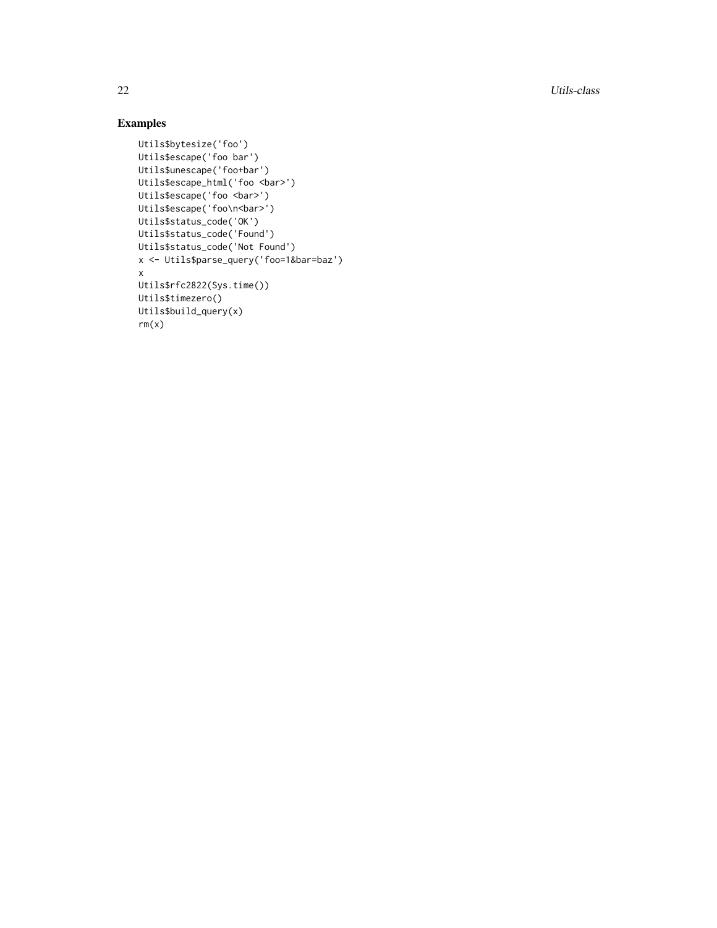22 Utils-class

```
Utils$bytesize('foo')
Utils$escape('foo bar')
Utils$unescape('foo+bar')
Utils$escape_html('foo <bar>')
Utils$escape('foo <bar>')
Utils$escape('foo\n<bar>')
Utils$status_code('OK')
Utils$status_code('Found')
Utils$status_code('Not Found')
x <- Utils$parse_query('foo=1&bar=baz') x
Utils$rfc2822(Sys.time())
Utils$timezero()
Utils$build_query(x)
rm(x)
```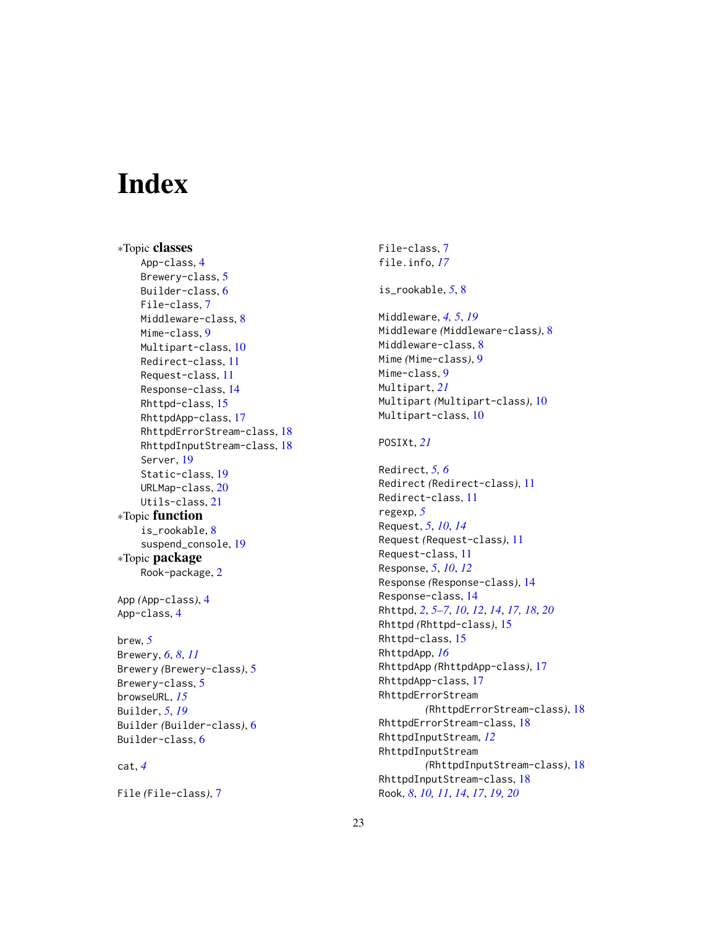# <span id="page-22-0"></span>Index

∗Topic classes App-class, [4](#page-3-0) Brewery-class, [5](#page-4-0) Builder-class, [6](#page-5-0) File-class, [7](#page-6-0) Middleware-class, [8](#page-7-0) Mime-class, [9](#page-8-0) Multipart-class, [10](#page-9-0) Redirect-class, [11](#page-10-0) Request-class, [11](#page-10-0) Response-class, [14](#page-13-0) Rhttpd-class, [15](#page-14-0) RhttpdApp-class, [17](#page-16-0) RhttpdErrorStream-class, [18](#page-17-0) RhttpdInputStream-class, [18](#page-17-0) Server, [19](#page-18-0) Static-class, [19](#page-18-0) URLMap-class, [20](#page-19-0) Utils-class, [21](#page-20-0) ∗Topic function is\_rookable, [8](#page-7-0) suspend\_console, [19](#page-18-0) ∗Topic package Rook-package, [2](#page-1-0) App *(*App-class*)*, [4](#page-3-0) App-class, [4](#page-3-0) brew, *[5](#page-4-0)* Brewery, *[6](#page-5-0)*, *[8](#page-7-0)*, *[11](#page-10-0)* Brewery *(*Brewery-class*)*, [5](#page-4-0) Brewery-class, [5](#page-4-0) browseURL, *[15](#page-14-0)* Builder, *[5](#page-4-0)*, *[19](#page-18-0)* Builder *(*Builder-class*)*, [6](#page-5-0) Builder-class, [6](#page-5-0) cat, *[4](#page-3-0)*

File *(*File-class*)*, [7](#page-6-0)

File-class, [7](#page-6-0) file.info, *[17](#page-16-0)* is\_rookable, *[5](#page-4-0)*, [8](#page-7-0) Middleware, *[4,](#page-3-0) [5](#page-4-0)*, *[19](#page-18-0)* Middleware *(*Middleware-class*)*, [8](#page-7-0) Middleware-class, [8](#page-7-0) Mime *(*Mime-class*)*, [9](#page-8-0) Mime-class, [9](#page-8-0) Multipart, *[21](#page-20-0)* Multipart *(*Multipart-class*)*, [10](#page-9-0) Multipart-class, [10](#page-9-0) POSIXt, *[21](#page-20-0)* Redirect, *[5,](#page-4-0) [6](#page-5-0)* Redirect *(*Redirect-class*)*, [11](#page-10-0) Redirect-class, [11](#page-10-0) regexp, *[5](#page-4-0)* Request, *[5](#page-4-0)*, *[10](#page-9-0)*, *[14](#page-13-0)* Request *(*Request-class*)*, [11](#page-10-0) Request-class, [11](#page-10-0) Response, *[5](#page-4-0)*, *[10](#page-9-0)*, *[12](#page-11-0)* Response *(*Response-class*)*, [14](#page-13-0) Response-class, [14](#page-13-0) Rhttpd, *[2](#page-1-0)*, *[5](#page-4-0)[–7](#page-6-0)*, *[10](#page-9-0)*, *[12](#page-11-0)*, *[14](#page-13-0)*, *[17,](#page-16-0) [18](#page-17-0)*, *[20](#page-19-0)* Rhttpd *(*Rhttpd-class*)*, [15](#page-14-0) Rhttpd-class, [15](#page-14-0) RhttpdApp, *[16](#page-15-0)* RhttpdApp *(*RhttpdApp-class*)*, [17](#page-16-0) RhttpdApp-class, [17](#page-16-0) RhttpdErrorStream *(*RhttpdErrorStream-class*)*, [18](#page-17-0) RhttpdErrorStream-class, [18](#page-17-0) RhttpdInputStream, *[12](#page-11-0)* RhttpdInputStream *(*RhttpdInputStream-class*)*, [18](#page-17-0) RhttpdInputStream-class, [18](#page-17-0) Rook, *[8](#page-7-0)*, *[10,](#page-9-0) [11](#page-10-0)*, *[14](#page-13-0)*, *[17](#page-16-0)*, *[19,](#page-18-0) [20](#page-19-0)*